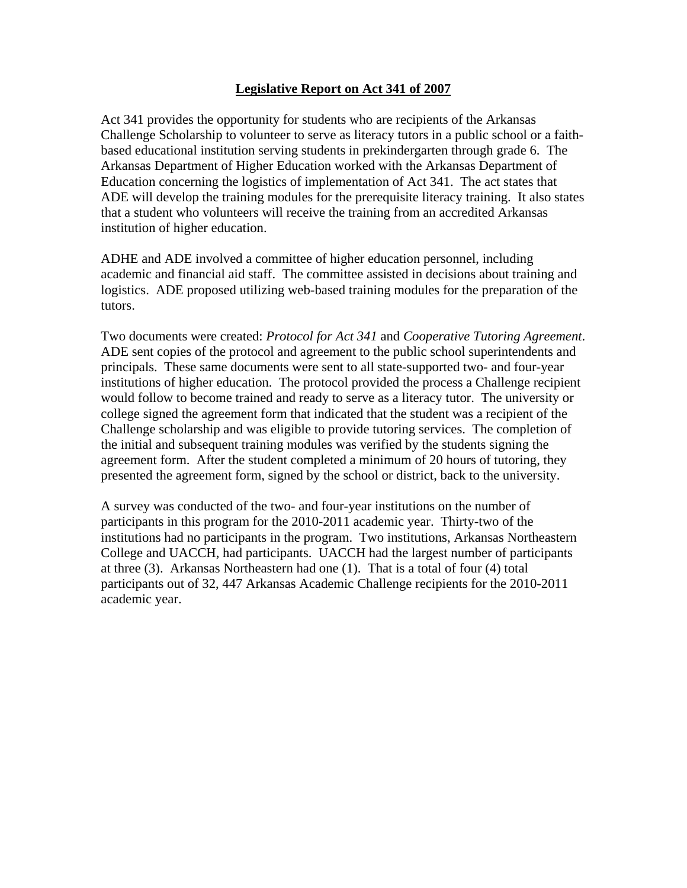## **Legislative Report on Act 341 of 2007**

Act 341 provides the opportunity for students who are recipients of the Arkansas Challenge Scholarship to volunteer to serve as literacy tutors in a public school or a faithbased educational institution serving students in prekindergarten through grade 6. The Arkansas Department of Higher Education worked with the Arkansas Department of Education concerning the logistics of implementation of Act 341. The act states that ADE will develop the training modules for the prerequisite literacy training. It also states that a student who volunteers will receive the training from an accredited Arkansas institution of higher education.

ADHE and ADE involved a committee of higher education personnel, including academic and financial aid staff. The committee assisted in decisions about training and logistics. ADE proposed utilizing web-based training modules for the preparation of the tutors.

Two documents were created: *Protocol for Act 341* and *Cooperative Tutoring Agreement*. ADE sent copies of the protocol and agreement to the public school superintendents and principals. These same documents were sent to all state-supported two- and four-year institutions of higher education. The protocol provided the process a Challenge recipient would follow to become trained and ready to serve as a literacy tutor. The university or college signed the agreement form that indicated that the student was a recipient of the Challenge scholarship and was eligible to provide tutoring services. The completion of the initial and subsequent training modules was verified by the students signing the agreement form. After the student completed a minimum of 20 hours of tutoring, they presented the agreement form, signed by the school or district, back to the university.

A survey was conducted of the two- and four-year institutions on the number of participants in this program for the 2010-2011 academic year. Thirty-two of the institutions had no participants in the program. Two institutions, Arkansas Northeastern College and UACCH, had participants. UACCH had the largest number of participants at three (3). Arkansas Northeastern had one (1). That is a total of four (4) total participants out of 32, 447 Arkansas Academic Challenge recipients for the 2010-2011 academic year.